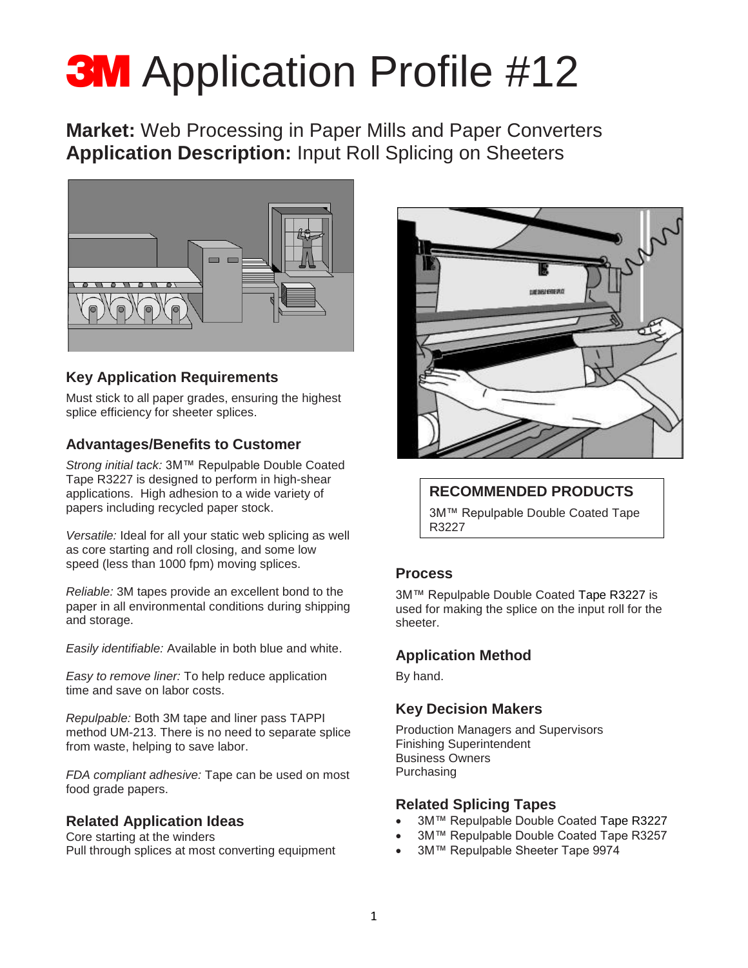# **3M** Application Profile #12

**Market:** Web Processing in Paper Mills and Paper Converters **Application Description:** Input Roll Splicing on Sheeters



### **Key Application Requirements**

Must stick to all paper grades, ensuring the highest splice efficiency for sheeter splices.

#### **Advantages/Benefits to Customer**

*Strong initial tack:* 3M™ Repulpable Double Coated Tape R3227 is designed to perform in high-shear applications. High adhesion to a wide variety of papers including recycled paper stock.

*Versatile:* Ideal for all your static web splicing as well as core starting and roll closing, and some low speed (less than 1000 fpm) moving splices.

*Reliable:* 3M tapes provide an excellent bond to the paper in all environmental conditions during shipping and storage.

*Easily identifiable:* Available in both blue and white.

*Easy to remove liner:* To help reduce application time and save on labor costs.

*Repulpable:* Both 3M tape and liner pass TAPPI method UM-213. There is no need to separate splice from waste, helping to save labor.

*FDA compliant adhesive:* Tape can be used on most food grade papers.

#### **Related Application Ideas**

Core starting at the winders Pull through splices at most converting equipment



#### **RECOMMENDED PRODUCTS**

3M™ Repulpable Double Coated Tape R3227

#### **Process**

3M™ Repulpable Double Coated Tape R3227 is used for making the splice on the input roll for the sheeter.

#### **Application Method**

By hand.

#### **Key Decision Makers**

Production Managers and Supervisors Finishing Superintendent Business Owners Purchasing

#### **Related Splicing Tapes**

- 3M™ Repulpable Double Coated Tape R3227
- 3M™ Repulpable Double Coated Tape R3257
- 3M™ Repulpable Sheeter Tape 9974